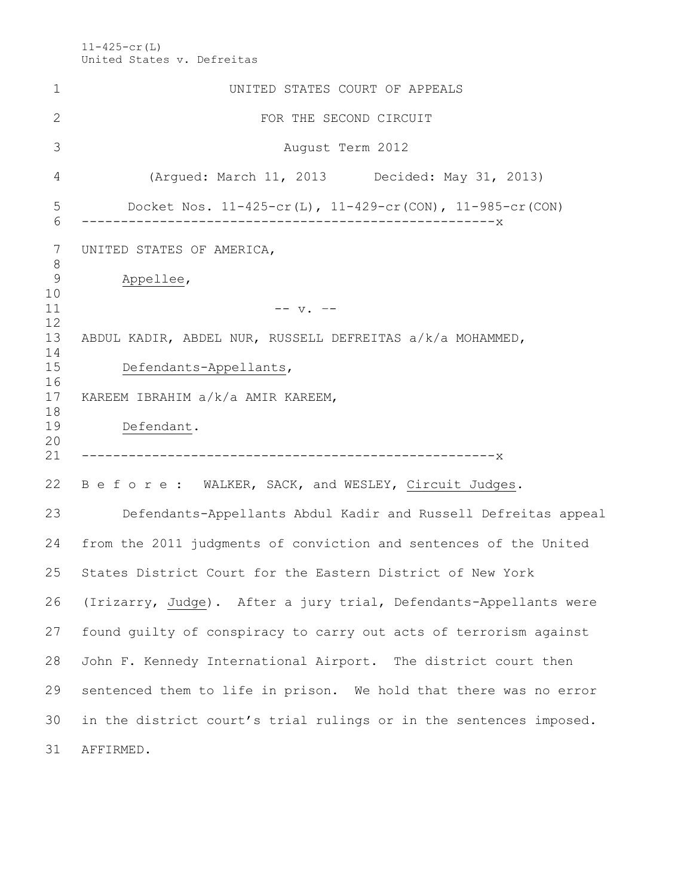11-425-cr(L) United States v. Defreitas

| 1                   | UNITED STATES COURT OF APPEALS                                     |
|---------------------|--------------------------------------------------------------------|
| 2                   | FOR THE SECOND CIRCUIT                                             |
| 3                   | August Term 2012                                                   |
| 4                   | (Argued: March 11, 2013 Decided: May 31, 2013)                     |
| 5<br>6              | Docket Nos. $11-425-cr(L)$ , $11-429-cr(CON)$ , $11-985-cr(CON)$   |
| 7<br>8              | UNITED STATES OF AMERICA,                                          |
| $\mathcal{G}$<br>10 | Appellee,                                                          |
| 11<br>12            | $-- v. --$                                                         |
| 13<br>14            | ABDUL KADIR, ABDEL NUR, RUSSELL DEFREITAS a/k/a MOHAMMED,          |
| 15<br>16            | Defendants-Appellants,                                             |
| 17                  | KAREEM IBRAHIM a/k/a AMIR KAREEM,                                  |
| 18<br>19<br>20      | Defendant.                                                         |
| 21                  |                                                                    |
| 22                  | B e f o r e : WALKER, SACK, and WESLEY, Circuit Judges.            |
| 23                  | Defendants-Appellants Abdul Kadir and Russell Defreitas appeal     |
| 24                  | from the 2011 judgments of conviction and sentences of the United  |
| 25                  | States District Court for the Eastern District of New York         |
| 26                  | (Irizarry, Judge). After a jury trial, Defendants-Appellants were  |
| 27                  | found guilty of conspiracy to carry out acts of terrorism against  |
| 28                  | John F. Kennedy International Airport. The district court then     |
| 29                  | sentenced them to life in prison. We hold that there was no error  |
| 30                  | in the district court's trial rulings or in the sentences imposed. |
| 31                  | AFFIRMED.                                                          |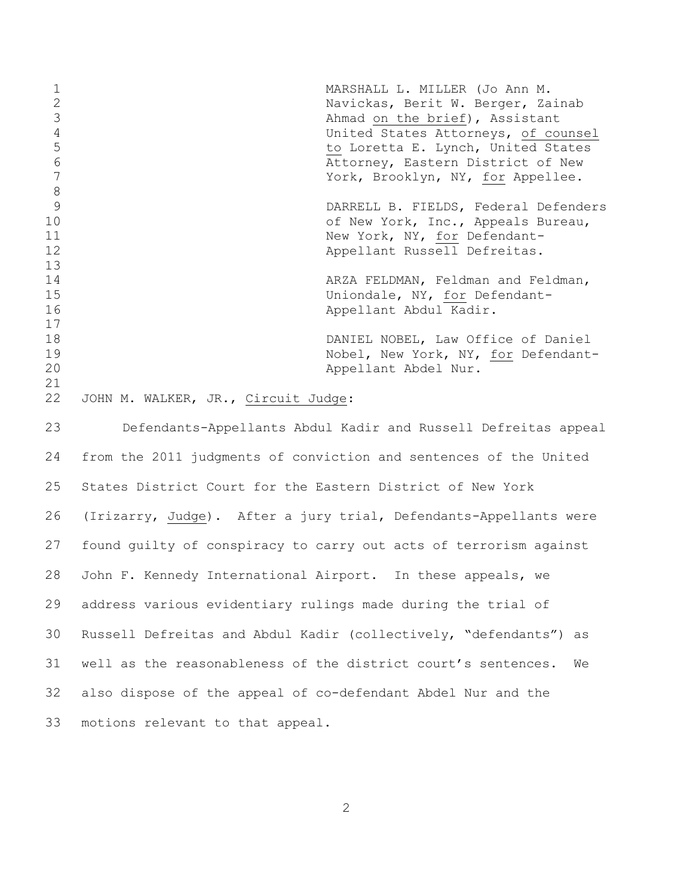| $\mathbf 1$<br>$\mathbf{2}$<br>3<br>$\overline{4}$<br>5<br>$6\phantom{.}6$<br>$\overline{7}$ | MARSHALL L. MILLER (Jo Ann M.<br>Navickas, Berit W. Berger, Zainab<br>Ahmad on the brief), Assistant<br>United States Attorneys, of counsel<br>to Loretta E. Lynch, United States<br>Attorney, Eastern District of New<br>York, Brooklyn, NY, for Appellee. |
|----------------------------------------------------------------------------------------------|-------------------------------------------------------------------------------------------------------------------------------------------------------------------------------------------------------------------------------------------------------------|
| 8<br>9<br>10<br>11<br>12                                                                     | DARRELL B. FIELDS, Federal Defenders<br>of New York, Inc., Appeals Bureau,<br>New York, NY, for Defendant-<br>Appellant Russell Defreitas.                                                                                                                  |
| 13<br>14<br>15<br>16<br>17                                                                   | ARZA FELDMAN, Feldman and Feldman,<br>Uniondale, NY, for Defendant-<br>Appellant Abdul Kadir.                                                                                                                                                               |
| 18<br>19<br>20<br>21                                                                         | DANIEL NOBEL, Law Office of Daniel<br>Nobel, New York, NY, for Defendant-<br>Appellant Abdel Nur.                                                                                                                                                           |
| 22                                                                                           | JOHN M. WALKER, JR., Circuit Judge:                                                                                                                                                                                                                         |
| 23                                                                                           | Defendants-Appellants Abdul Kadir and Russell Defreitas appeal                                                                                                                                                                                              |
| 24                                                                                           | from the 2011 judgments of conviction and sentences of the United                                                                                                                                                                                           |
| 25                                                                                           | States District Court for the Eastern District of New York                                                                                                                                                                                                  |
| 26                                                                                           | (Irizarry, Judge). After a jury trial, Defendants-Appellants were                                                                                                                                                                                           |
| 27                                                                                           | found quilty of conspiracy to carry out acts of terrorism against                                                                                                                                                                                           |
| 28                                                                                           | John F. Kennedy International Airport. In these appeals, we                                                                                                                                                                                                 |
| 29                                                                                           | address various evidentiary rulings made during the trial of                                                                                                                                                                                                |
| 30                                                                                           | Russell Defreitas and Abdul Kadir (collectively, "defendants") as                                                                                                                                                                                           |

well as the reasonableness of the district court's sentences. We

also dispose of the appeal of co-defendant Abdel Nur and the

motions relevant to that appeal.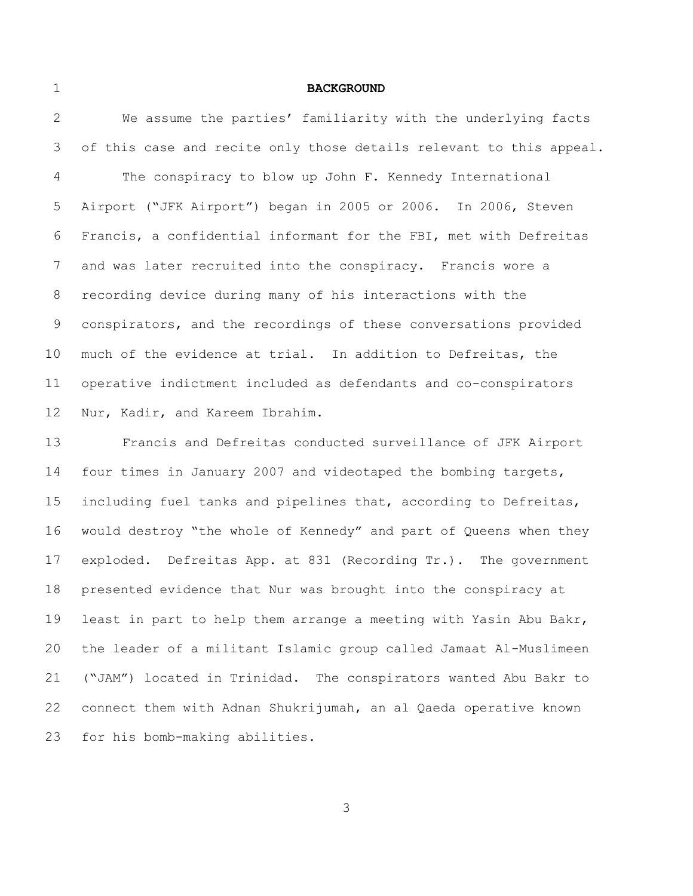#### **BACKGROUND**

 We assume the parties' familiarity with the underlying facts 3 of this case and recite only those details relevant to this appeal. The conspiracy to blow up John F. Kennedy International Airport ("JFK Airport") began in 2005 or 2006. In 2006, Steven Francis, a confidential informant for the FBI, met with Defreitas and was later recruited into the conspiracy. Francis wore a recording device during many of his interactions with the conspirators, and the recordings of these conversations provided much of the evidence at trial. In addition to Defreitas, the operative indictment included as defendants and co-conspirators Nur, Kadir, and Kareem Ibrahim.

 Francis and Defreitas conducted surveillance of JFK Airport four times in January 2007 and videotaped the bombing targets, including fuel tanks and pipelines that, according to Defreitas, would destroy "the whole of Kennedy" and part of Queens when they exploded. Defreitas App. at 831 (Recording Tr.). The government presented evidence that Nur was brought into the conspiracy at least in part to help them arrange a meeting with Yasin Abu Bakr, the leader of a militant Islamic group called Jamaat Al-Muslimeen ("JAM") located in Trinidad. The conspirators wanted Abu Bakr to connect them with Adnan Shukrijumah, an al Qaeda operative known for his bomb-making abilities.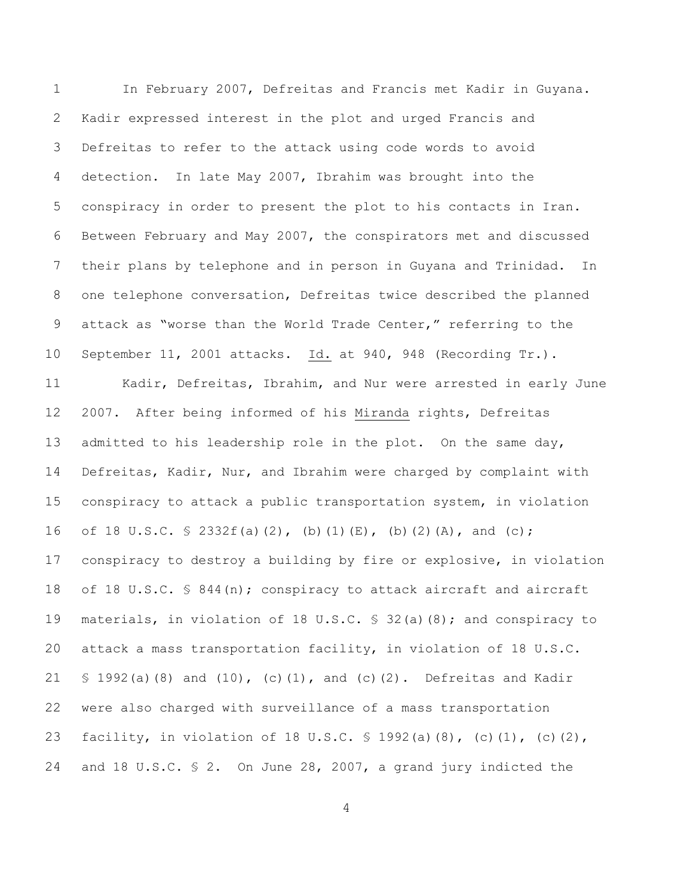In February 2007, Defreitas and Francis met Kadir in Guyana. Kadir expressed interest in the plot and urged Francis and Defreitas to refer to the attack using code words to avoid detection. In late May 2007, Ibrahim was brought into the conspiracy in order to present the plot to his contacts in Iran. Between February and May 2007, the conspirators met and discussed their plans by telephone and in person in Guyana and Trinidad. In one telephone conversation, Defreitas twice described the planned attack as "worse than the World Trade Center," referring to the September 11, 2001 attacks. Id. at 940, 948 (Recording Tr.). Kadir, Defreitas, Ibrahim, and Nur were arrested in early June 2007. After being informed of his Miranda rights, Defreitas 13 admitted to his leadership role in the plot. On the same day, Defreitas, Kadir, Nur, and Ibrahim were charged by complaint with conspiracy to attack a public transportation system, in violation 16 of 18 U.S.C.  $\frac{1}{2}$  2332f(a)(2), (b)(1)(E), (b)(2)(A), and (c); conspiracy to destroy a building by fire or explosive, in violation 18 of 18 U.S.C. § 844(n); conspiracy to attack aircraft and aircraft materials, in violation of 18 U.S.C. § 32(a)(8); and conspiracy to attack a mass transportation facility, in violation of 18 U.S.C. § 1992(a)(8) and (10), (c)(1), and (c)(2). Defreitas and Kadir were also charged with surveillance of a mass transportation 23 facility, in violation of 18 U.S.C. § 1992(a)(8), (c)(1), (c)(2), and 18 U.S.C. § 2. On June 28, 2007, a grand jury indicted the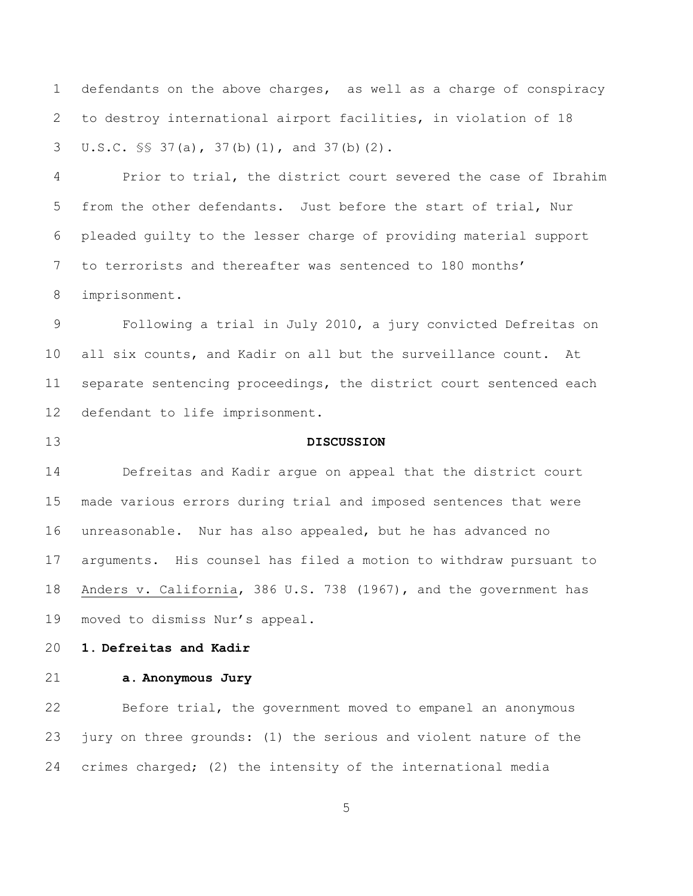defendants on the above charges, as well as a charge of conspiracy to destroy international airport facilities, in violation of 18 U.S.C. §§ 37(a), 37(b)(1), and 37(b)(2).

 Prior to trial, the district court severed the case of Ibrahim from the other defendants. Just before the start of trial, Nur pleaded guilty to the lesser charge of providing material support to terrorists and thereafter was sentenced to 180 months' imprisonment.

 Following a trial in July 2010, a jury convicted Defreitas on all six counts, and Kadir on all but the surveillance count. At separate sentencing proceedings, the district court sentenced each defendant to life imprisonment.

## **DISCUSSION**

 Defreitas and Kadir argue on appeal that the district court made various errors during trial and imposed sentences that were unreasonable. Nur has also appealed, but he has advanced no arguments. His counsel has filed a motion to withdraw pursuant to Anders v. California, 386 U.S. 738 (1967), and the government has moved to dismiss Nur's appeal.

## **1. Defreitas and Kadir**

## **a. Anonymous Jury**

 Before trial, the government moved to empanel an anonymous jury on three grounds: (1) the serious and violent nature of the crimes charged; (2) the intensity of the international media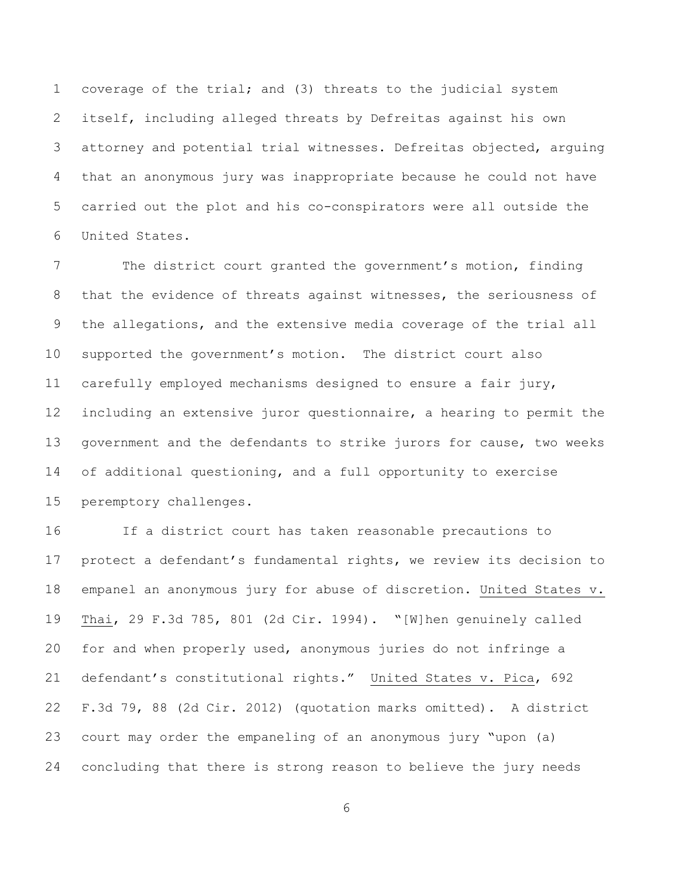coverage of the trial; and (3) threats to the judicial system itself, including alleged threats by Defreitas against his own attorney and potential trial witnesses. Defreitas objected, arguing that an anonymous jury was inappropriate because he could not have carried out the plot and his co-conspirators were all outside the United States.

 The district court granted the government's motion, finding that the evidence of threats against witnesses, the seriousness of the allegations, and the extensive media coverage of the trial all supported the government's motion. The district court also carefully employed mechanisms designed to ensure a fair jury, including an extensive juror questionnaire, a hearing to permit the government and the defendants to strike jurors for cause, two weeks of additional questioning, and a full opportunity to exercise peremptory challenges.

 If a district court has taken reasonable precautions to protect a defendant's fundamental rights, we review its decision to empanel an anonymous jury for abuse of discretion. United States v. Thai, 29 F.3d 785, 801 (2d Cir. 1994). "[W]hen genuinely called for and when properly used, anonymous juries do not infringe a defendant's constitutional rights." United States v. Pica, 692 F.3d 79, 88 (2d Cir. 2012) (quotation marks omitted). A district court may order the empaneling of an anonymous jury "upon (a) concluding that there is strong reason to believe the jury needs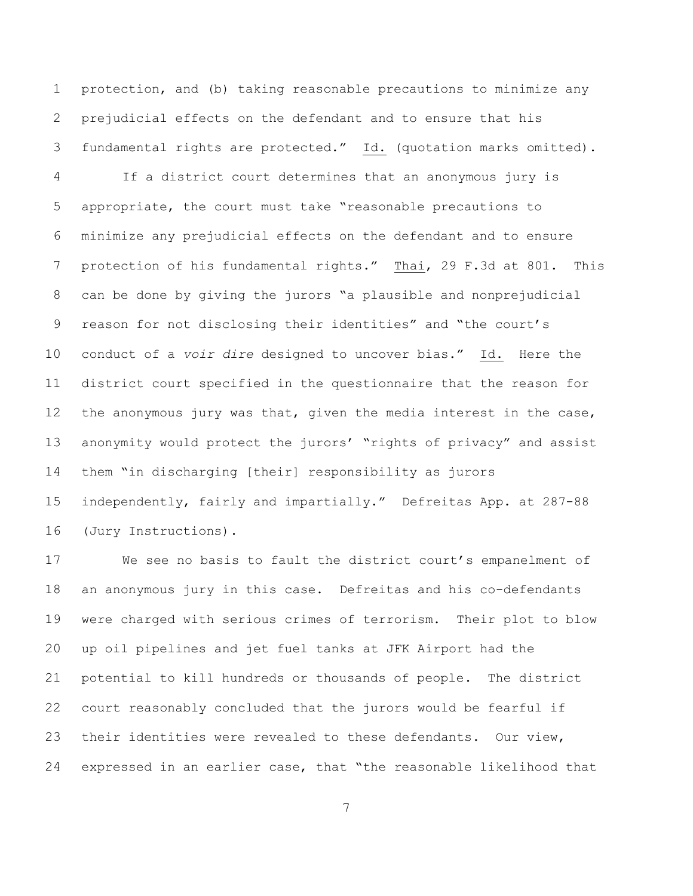protection, and (b) taking reasonable precautions to minimize any prejudicial effects on the defendant and to ensure that his fundamental rights are protected." Id. (quotation marks omitted).

 If a district court determines that an anonymous jury is appropriate, the court must take "reasonable precautions to minimize any prejudicial effects on the defendant and to ensure protection of his fundamental rights." Thai, 29 F.3d at 801. This can be done by giving the jurors "a plausible and nonprejudicial reason for not disclosing their identities" and "the court's conduct of a *voir dire* designed to uncover bias." Id. Here the district court specified in the questionnaire that the reason for the anonymous jury was that, given the media interest in the case, anonymity would protect the jurors' "rights of privacy" and assist them "in discharging [their] responsibility as jurors independently, fairly and impartially." Defreitas App. at 287-88 (Jury Instructions).

 We see no basis to fault the district court's empanelment of an anonymous jury in this case. Defreitas and his co-defendants were charged with serious crimes of terrorism. Their plot to blow up oil pipelines and jet fuel tanks at JFK Airport had the potential to kill hundreds or thousands of people. The district court reasonably concluded that the jurors would be fearful if their identities were revealed to these defendants. Our view, expressed in an earlier case, that "the reasonable likelihood that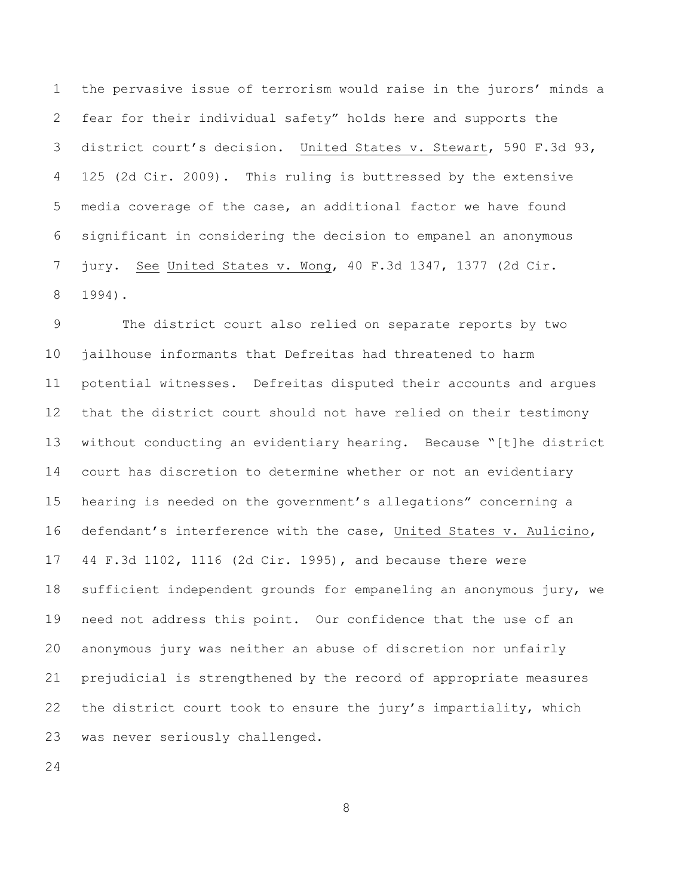the pervasive issue of terrorism would raise in the jurors' minds a fear for their individual safety" holds here and supports the district court's decision. United States v. Stewart, 590 F.3d 93, 125 (2d Cir. 2009). This ruling is buttressed by the extensive media coverage of the case, an additional factor we have found significant in considering the decision to empanel an anonymous jury. See United States v. Wong, 40 F.3d 1347, 1377 (2d Cir. 1994).

 The district court also relied on separate reports by two jailhouse informants that Defreitas had threatened to harm potential witnesses. Defreitas disputed their accounts and argues that the district court should not have relied on their testimony without conducting an evidentiary hearing. Because "[t]he district court has discretion to determine whether or not an evidentiary hearing is needed on the government's allegations" concerning a defendant's interference with the case, United States v. Aulicino, 44 F.3d 1102, 1116 (2d Cir. 1995), and because there were sufficient independent grounds for empaneling an anonymous jury, we need not address this point. Our confidence that the use of an anonymous jury was neither an abuse of discretion nor unfairly prejudicial is strengthened by the record of appropriate measures the district court took to ensure the jury's impartiality, which was never seriously challenged.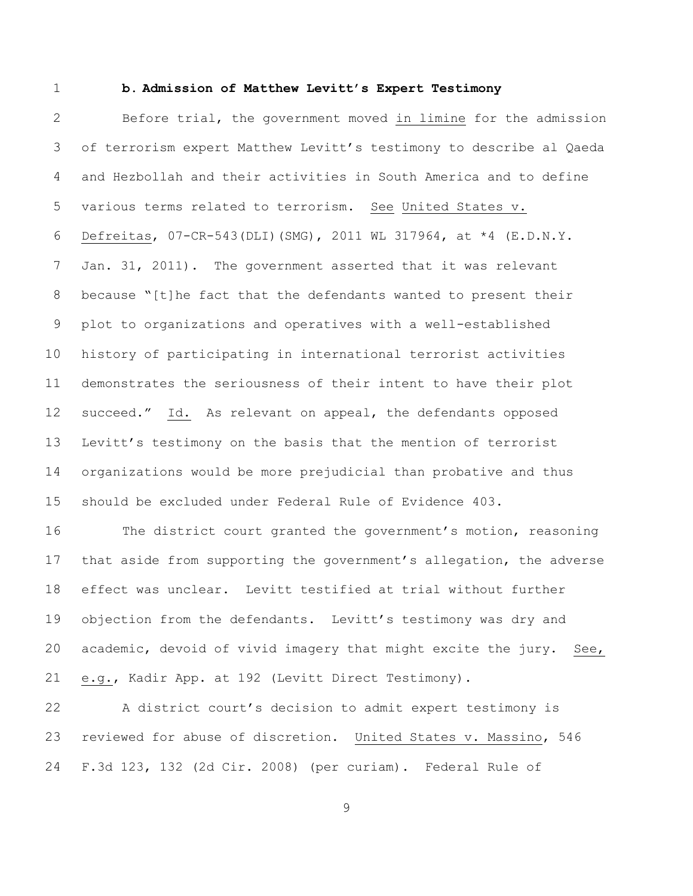#### **b. Admission of Matthew Levitt's Expert Testimony**

 Before trial, the government moved in limine for the admission of terrorism expert Matthew Levitt's testimony to describe al Qaeda and Hezbollah and their activities in South America and to define various terms related to terrorism. See United States v. Defreitas, 07-CR-543(DLI)(SMG), 2011 WL 317964, at \*4 (E.D.N.Y. Jan. 31, 2011). The government asserted that it was relevant because "[t]he fact that the defendants wanted to present their plot to organizations and operatives with a well-established history of participating in international terrorist activities demonstrates the seriousness of their intent to have their plot succeed." Id. As relevant on appeal, the defendants opposed Levitt's testimony on the basis that the mention of terrorist organizations would be more prejudicial than probative and thus should be excluded under Federal Rule of Evidence 403.

 The district court granted the government's motion, reasoning that aside from supporting the government's allegation, the adverse effect was unclear. Levitt testified at trial without further objection from the defendants. Levitt's testimony was dry and academic, devoid of vivid imagery that might excite the jury. See, e.g., Kadir App. at 192 (Levitt Direct Testimony).

 A district court's decision to admit expert testimony is reviewed for abuse of discretion. United States v. Massino, 546 F.3d 123, 132 (2d Cir. 2008) (per curiam). Federal Rule of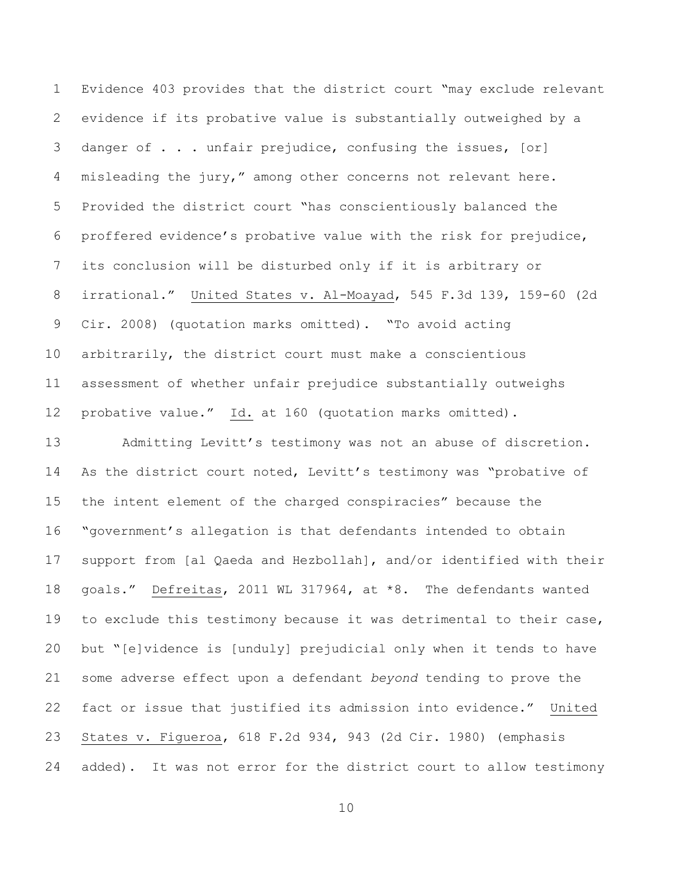Evidence 403 provides that the district court "may exclude relevant evidence if its probative value is substantially outweighed by a danger of . . . unfair prejudice, confusing the issues, [or] misleading the jury," among other concerns not relevant here. Provided the district court "has conscientiously balanced the proffered evidence's probative value with the risk for prejudice, its conclusion will be disturbed only if it is arbitrary or irrational." United States v. Al-Moayad, 545 F.3d 139, 159-60 (2d Cir. 2008) (quotation marks omitted). "To avoid acting arbitrarily, the district court must make a conscientious assessment of whether unfair prejudice substantially outweighs probative value." Id. at 160 (quotation marks omitted).

 Admitting Levitt's testimony was not an abuse of discretion. As the district court noted, Levitt's testimony was "probative of the intent element of the charged conspiracies" because the "government's allegation is that defendants intended to obtain support from [al Qaeda and Hezbollah], and/or identified with their goals." Defreitas, 2011 WL 317964, at \*8. The defendants wanted to exclude this testimony because it was detrimental to their case, but "[e]vidence is [unduly] prejudicial only when it tends to have some adverse effect upon a defendant *beyond* tending to prove the fact or issue that justified its admission into evidence." United States v. Figueroa, 618 F.2d 934, 943 (2d Cir. 1980) (emphasis added). It was not error for the district court to allow testimony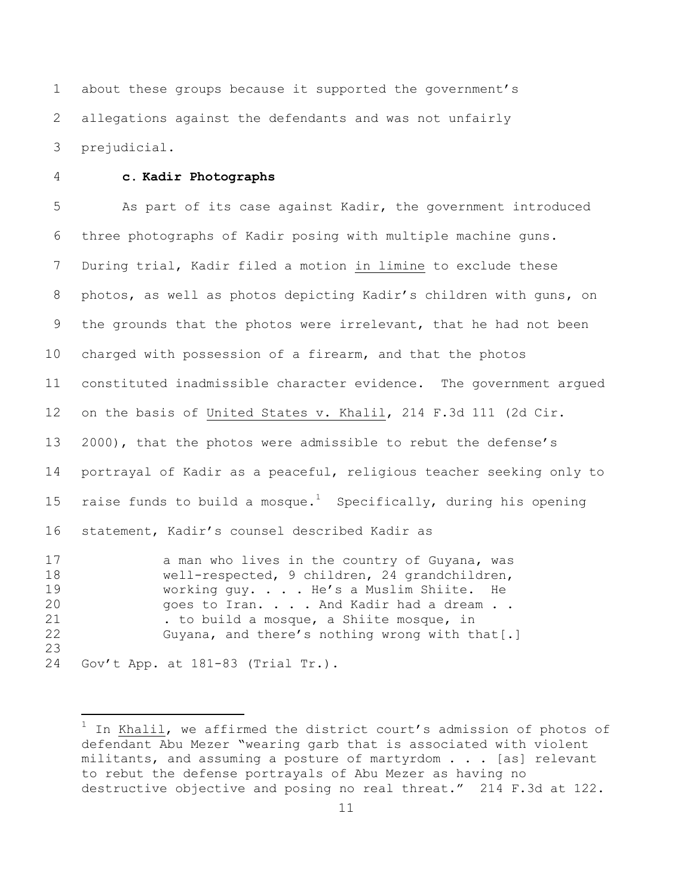about these groups because it supported the government's allegations against the defendants and was not unfairly prejudicial.

# **c. Kadir Photographs**

 As part of its case against Kadir, the government introduced three photographs of Kadir posing with multiple machine guns. During trial, Kadir filed a motion in limine to exclude these photos, as well as photos depicting Kadir's children with guns, on the grounds that the photos were irrelevant, that he had not been charged with possession of a firearm, and that the photos constituted inadmissible character evidence. The government argued on the basis of United States v. Khalil, 214 F.3d 111 (2d Cir. 2000), that the photos were admissible to rebut the defense's portrayal of Kadir as a peaceful, religious teacher seeking only to 15 raise funds to build a mosque.<sup>1</sup> Specifically, during his opening statement, Kadir's counsel described Kadir as 17 a man who lives in the country of Guyana, was well-respected, 9 children, 24 grandchildren, working guy. . . . He's a Muslim Shiite. He

20 goes to Iran. . . . And Kadir had a dream . . . to build a mosque, a Shiite mosque, in Guyana, and there's nothing wrong with that[.] 

Gov't App. at 181-83 (Trial Tr.).

÷.

 $^1$  In Khalil, we affirmed the district court's admission of photos of defendant Abu Mezer "wearing garb that is associated with violent militants, and assuming a posture of martyrdom . . . [as] relevant to rebut the defense portrayals of Abu Mezer as having no destructive objective and posing no real threat." 214 F.3d at 122.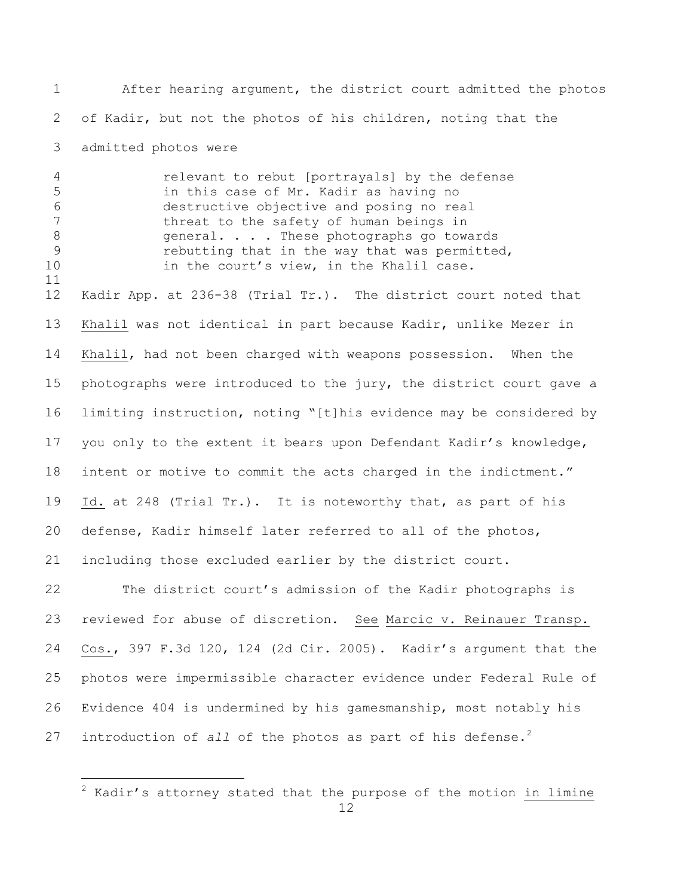After hearing argument, the district court admitted the photos of Kadir, but not the photos of his children, noting that the admitted photos were

relevant to rebut [portrayals] by the defense

 in this case of Mr. Kadir as having no destructive objective and posing no real 7 threat to the safety of human beings in 8 general. . . . These photographs go towards rebutting that in the way that was permitted, 10 in the court's view, in the Khalil case. Kadir App. at 236-38 (Trial Tr.). The district court noted that Khalil was not identical in part because Kadir, unlike Mezer in Khalil, had not been charged with weapons possession. When the photographs were introduced to the jury, the district court gave a limiting instruction, noting "[t]his evidence may be considered by you only to the extent it bears upon Defendant Kadir's knowledge, intent or motive to commit the acts charged in the indictment." Id. at 248 (Trial Tr.). It is noteworthy that, as part of his defense, Kadir himself later referred to all of the photos, including those excluded earlier by the district court.

 The district court's admission of the Kadir photographs is reviewed for abuse of discretion. See Marcic v. Reinauer Transp. Cos., 397 F.3d 120, 124 (2d Cir. 2005). Kadir's argument that the photos were impermissible character evidence under Federal Rule of Evidence 404 is undermined by his gamesmanship, most notably his 27 introduction of *all* of the photos as part of his defense.<sup>2</sup>

÷.

 Kadir's attorney stated that the purpose of the motion  $\frac{1}{10}$  limine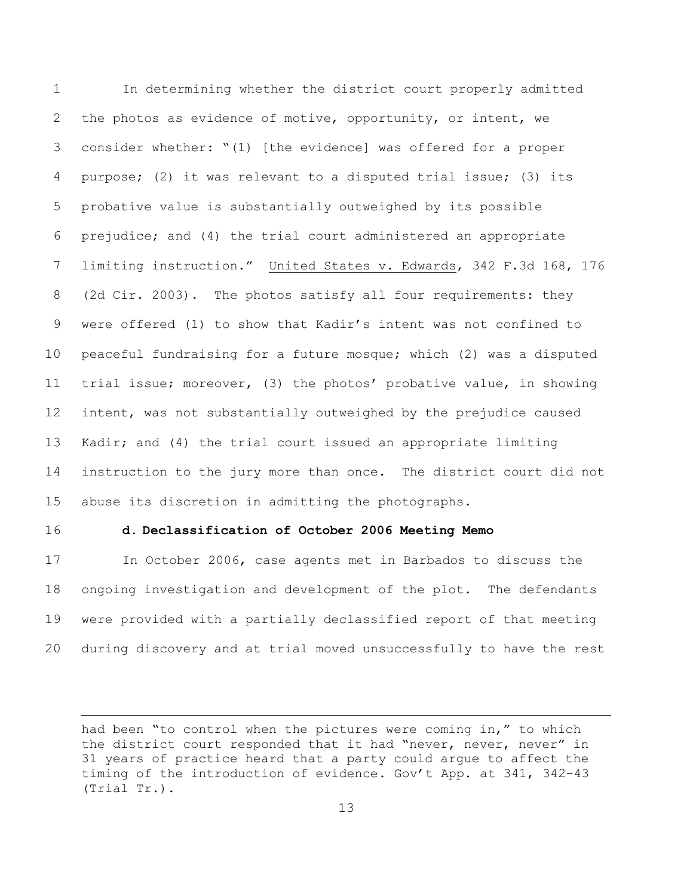In determining whether the district court properly admitted 2 the photos as evidence of motive, opportunity, or intent, we consider whether: "(1) [the evidence] was offered for a proper purpose; (2) it was relevant to a disputed trial issue; (3) its probative value is substantially outweighed by its possible prejudice; and (4) the trial court administered an appropriate limiting instruction." United States v. Edwards, 342 F.3d 168, 176 (2d Cir. 2003). The photos satisfy all four requirements: they were offered (1) to show that Kadir's intent was not confined to peaceful fundraising for a future mosque; which (2) was a disputed trial issue; moreover, (3) the photos' probative value, in showing intent, was not substantially outweighed by the prejudice caused Kadir; and (4) the trial court issued an appropriate limiting instruction to the jury more than once. The district court did not abuse its discretion in admitting the photographs.

L,

## **d. Declassification of October 2006 Meeting Memo**

 In October 2006, case agents met in Barbados to discuss the ongoing investigation and development of the plot. The defendants were provided with a partially declassified report of that meeting during discovery and at trial moved unsuccessfully to have the rest

had been "to control when the pictures were coming in," to which the district court responded that it had "never, never, never" in 31 years of practice heard that a party could argue to affect the timing of the introduction of evidence. Gov't App. at 341, 342-43 (Trial Tr.).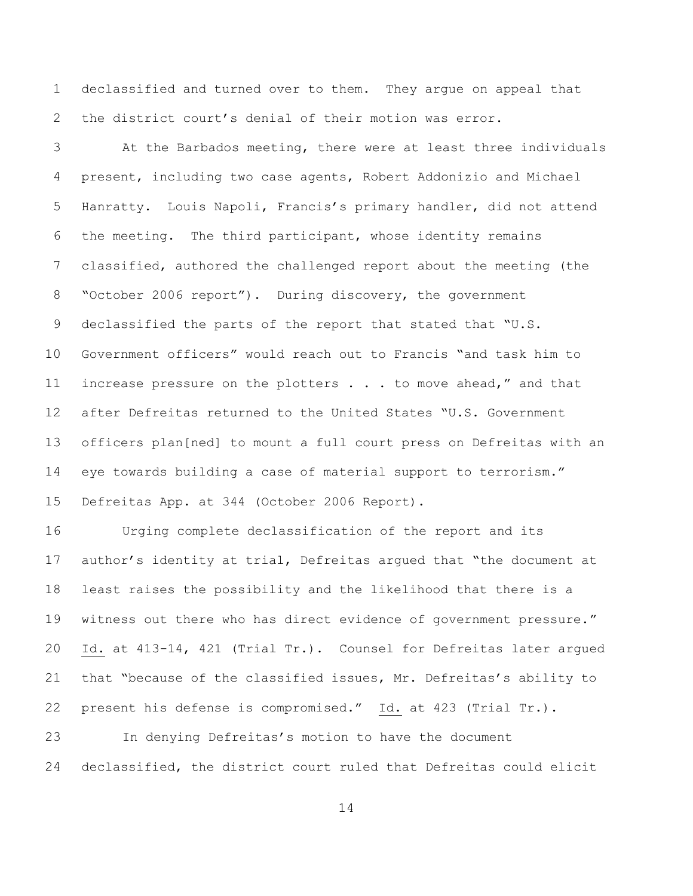declassified and turned over to them. They argue on appeal that the district court's denial of their motion was error.

 At the Barbados meeting, there were at least three individuals present, including two case agents, Robert Addonizio and Michael Hanratty. Louis Napoli, Francis's primary handler, did not attend the meeting. The third participant, whose identity remains classified, authored the challenged report about the meeting (the "October 2006 report"). During discovery, the government 9 declassified the parts of the report that stated that "U.S. Government officers" would reach out to Francis "and task him to 11 increase pressure on the plotters . . . to move ahead," and that after Defreitas returned to the United States "U.S. Government officers plan[ned] to mount a full court press on Defreitas with an eye towards building a case of material support to terrorism." Defreitas App. at 344 (October 2006 Report).

 Urging complete declassification of the report and its author's identity at trial, Defreitas argued that "the document at least raises the possibility and the likelihood that there is a witness out there who has direct evidence of government pressure." Id. at 413-14, 421 (Trial Tr.). Counsel for Defreitas later argued that "because of the classified issues, Mr. Defreitas's ability to present his defense is compromised." Id. at 423 (Trial Tr.).

 In denying Defreitas's motion to have the document declassified, the district court ruled that Defreitas could elicit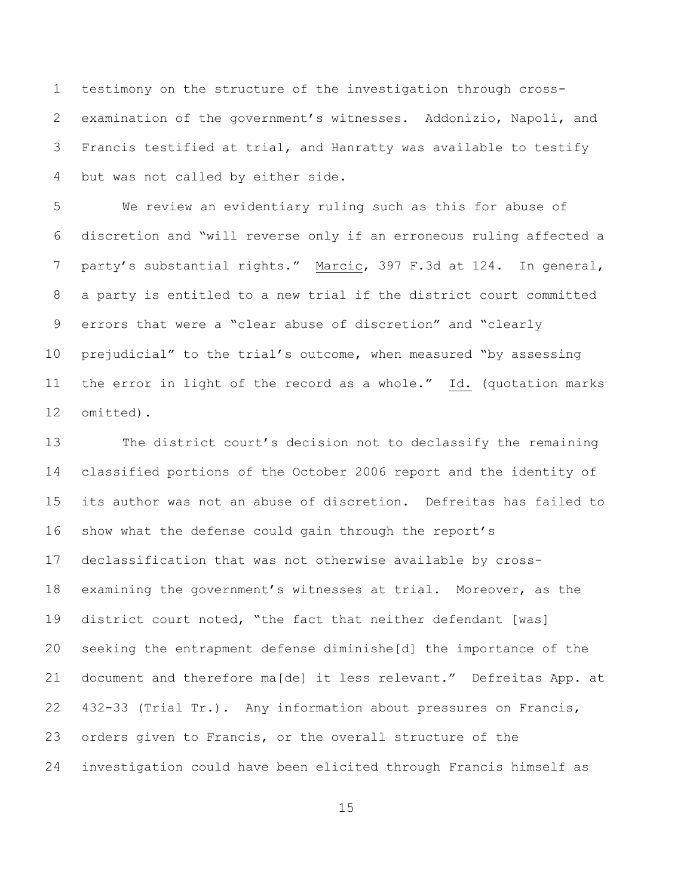testimony on the structure of the investigation through cross- examination of the government's witnesses. Addonizio, Napoli, and Francis testified at trial, and Hanratty was available to testify but was not called by either side.

 We review an evidentiary ruling such as this for abuse of discretion and "will reverse only if an erroneous ruling affected a party's substantial rights." Marcic, 397 F.3d at 124. In general, a party is entitled to a new trial if the district court committed errors that were a "clear abuse of discretion" and "clearly prejudicial" to the trial's outcome, when measured "by assessing the error in light of the record as a whole." Id. (quotation marks omitted).

 The district court's decision not to declassify the remaining classified portions of the October 2006 report and the identity of its author was not an abuse of discretion. Defreitas has failed to show what the defense could gain through the report's declassification that was not otherwise available by cross- examining the government's witnesses at trial. Moreover, as the district court noted, "the fact that neither defendant [was] seeking the entrapment defense diminishe[d] the importance of the document and therefore ma[de] it less relevant." Defreitas App. at 432-33 (Trial Tr.). Any information about pressures on Francis, orders given to Francis, or the overall structure of the investigation could have been elicited through Francis himself as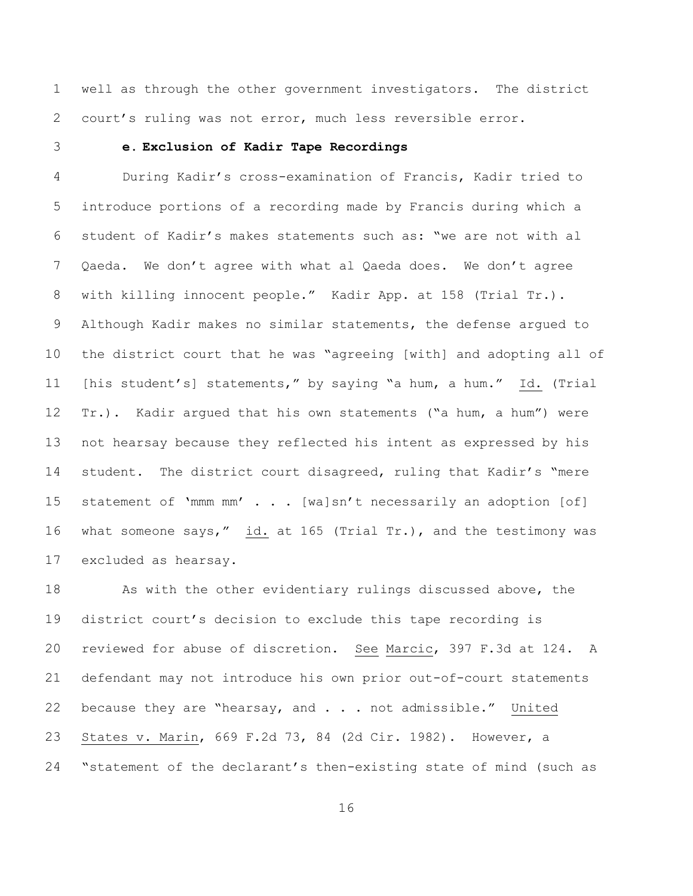well as through the other government investigators. The district court's ruling was not error, much less reversible error.

## **e. Exclusion of Kadir Tape Recordings**

 During Kadir's cross-examination of Francis, Kadir tried to introduce portions of a recording made by Francis during which a student of Kadir's makes statements such as: "we are not with al Qaeda. We don't agree with what al Qaeda does. We don't agree with killing innocent people." Kadir App. at 158 (Trial Tr.). Although Kadir makes no similar statements, the defense argued to the district court that he was "agreeing [with] and adopting all of [his student's] statements," by saying "a hum, a hum." Id. (Trial Tr.). Kadir argued that his own statements ("a hum, a hum") were not hearsay because they reflected his intent as expressed by his student. The district court disagreed, ruling that Kadir's "mere 15 statement of 'mmm mm' . . . [wa]sn't necessarily an adoption [of] 16 what someone says,"  $\frac{1}{1}d$ . at 165 (Trial Tr.), and the testimony was excluded as hearsay.

 As with the other evidentiary rulings discussed above, the district court's decision to exclude this tape recording is reviewed for abuse of discretion. See Marcic, 397 F.3d at 124. A defendant may not introduce his own prior out-of-court statements because they are "hearsay, and . . . not admissible." United States v. Marin, 669 F.2d 73, 84 (2d Cir. 1982). However, a "statement of the declarant's then-existing state of mind (such as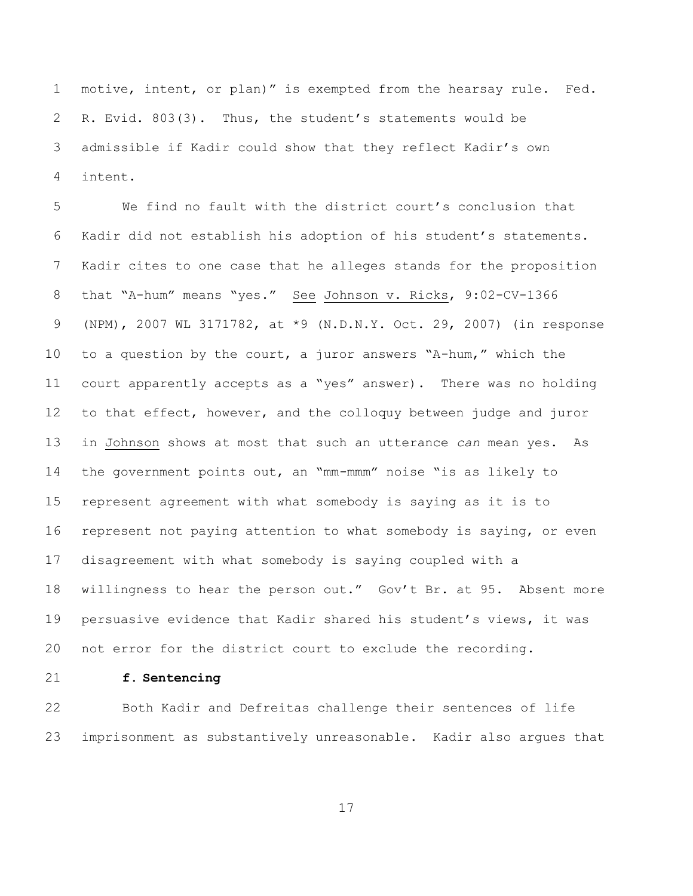motive, intent, or plan)" is exempted from the hearsay rule. Fed. R. Evid. 803(3). Thus, the student's statements would be admissible if Kadir could show that they reflect Kadir's own intent.

 We find no fault with the district court's conclusion that Kadir did not establish his adoption of his student's statements. Kadir cites to one case that he alleges stands for the proposition that "A-hum" means "yes." See Johnson v. Ricks, 9:02-CV-1366 (NPM), 2007 WL 3171782, at \*9 (N.D.N.Y. Oct. 29, 2007) (in response to a question by the court, a juror answers "A-hum," which the court apparently accepts as a "yes" answer). There was no holding to that effect, however, and the colloquy between judge and juror in Johnson shows at most that such an utterance *can* mean yes. As the government points out, an "mm-mmm" noise "is as likely to represent agreement with what somebody is saying as it is to represent not paying attention to what somebody is saying, or even disagreement with what somebody is saying coupled with a willingness to hear the person out." Gov't Br. at 95. Absent more persuasive evidence that Kadir shared his student's views, it was not error for the district court to exclude the recording.

**f. Sentencing**

 Both Kadir and Defreitas challenge their sentences of life imprisonment as substantively unreasonable. Kadir also argues that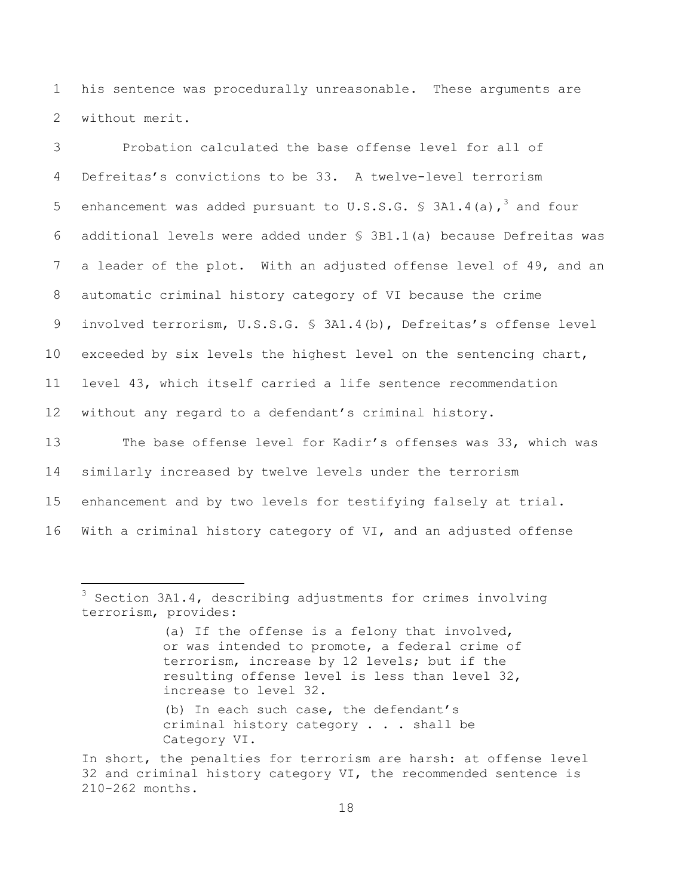1 his sentence was procedurally unreasonable. These arguments are 2 without merit.

 Probation calculated the base offense level for all of Defreitas's convictions to be 33. A twelve-level terrorism 5 enhancement was added pursuant to U.S.S.G.  $\frac{1}{5}$  3A1.4(a),<sup>3</sup> and four additional levels were added under § 3B1.1(a) because Defreitas was a leader of the plot. With an adjusted offense level of 49, and an automatic criminal history category of VI because the crime involved terrorism, U.S.S.G. § 3A1.4(b), Defreitas's offense level exceeded by six levels the highest level on the sentencing chart, level 43, which itself carried a life sentence recommendation without any regard to a defendant's criminal history.

 The base offense level for Kadir's offenses was 33, which was similarly increased by twelve levels under the terrorism enhancement and by two levels for testifying falsely at trial. With a criminal history category of VI, and an adjusted offense

÷.

(a) If the offense is a felony that involved, or was intended to promote, a federal crime of terrorism, increase by 12 levels; but if the resulting offense level is less than level 32, increase to level 32.

(b) In each such case, the defendant's criminal history category . . . shall be Category VI.

In short, the penalties for terrorism are harsh: at offense level 32 and criminal history category VI, the recommended sentence is 210-262 months.

 $3$  Section 3A1.4, describing adjustments for crimes involving terrorism, provides: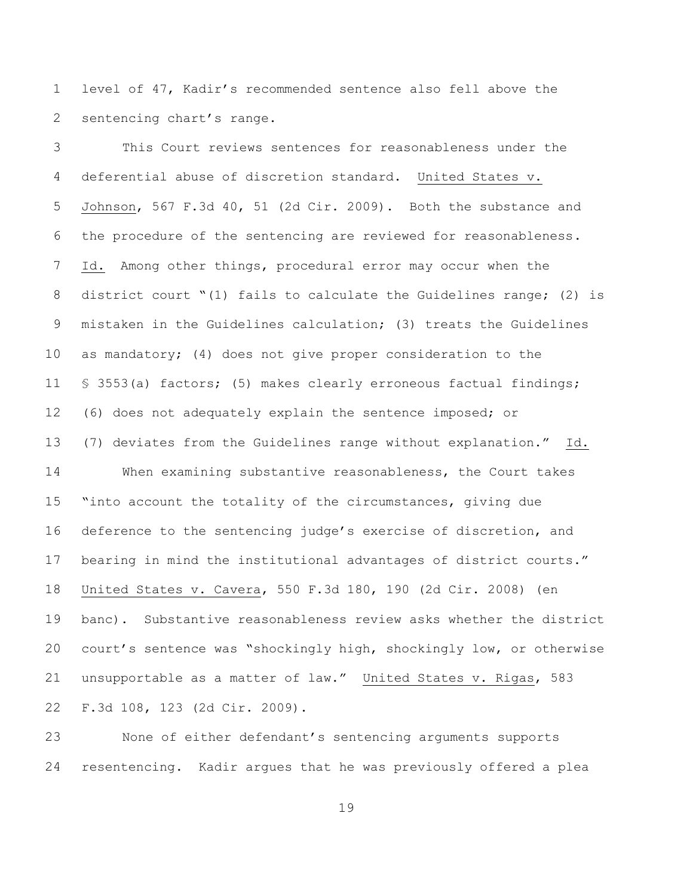level of 47, Kadir's recommended sentence also fell above the sentencing chart's range.

 This Court reviews sentences for reasonableness under the deferential abuse of discretion standard. United States v. Johnson, 567 F.3d 40, 51 (2d Cir. 2009). Both the substance and the procedure of the sentencing are reviewed for reasonableness. Id. Among other things, procedural error may occur when the district court "(1) fails to calculate the Guidelines range; (2) is mistaken in the Guidelines calculation; (3) treats the Guidelines as mandatory; (4) does not give proper consideration to the § 3553(a) factors; (5) makes clearly erroneous factual findings; (6) does not adequately explain the sentence imposed; or (7) deviates from the Guidelines range without explanation." Id. When examining substantive reasonableness, the Court takes "into account the totality of the circumstances, giving due deference to the sentencing judge's exercise of discretion, and bearing in mind the institutional advantages of district courts." United States v. Cavera, 550 F.3d 180, 190 (2d Cir. 2008) (en banc). Substantive reasonableness review asks whether the district court's sentence was "shockingly high, shockingly low, or otherwise unsupportable as a matter of law." United States v. Rigas, 583 F.3d 108, 123 (2d Cir. 2009).

 None of either defendant's sentencing arguments supports resentencing. Kadir argues that he was previously offered a plea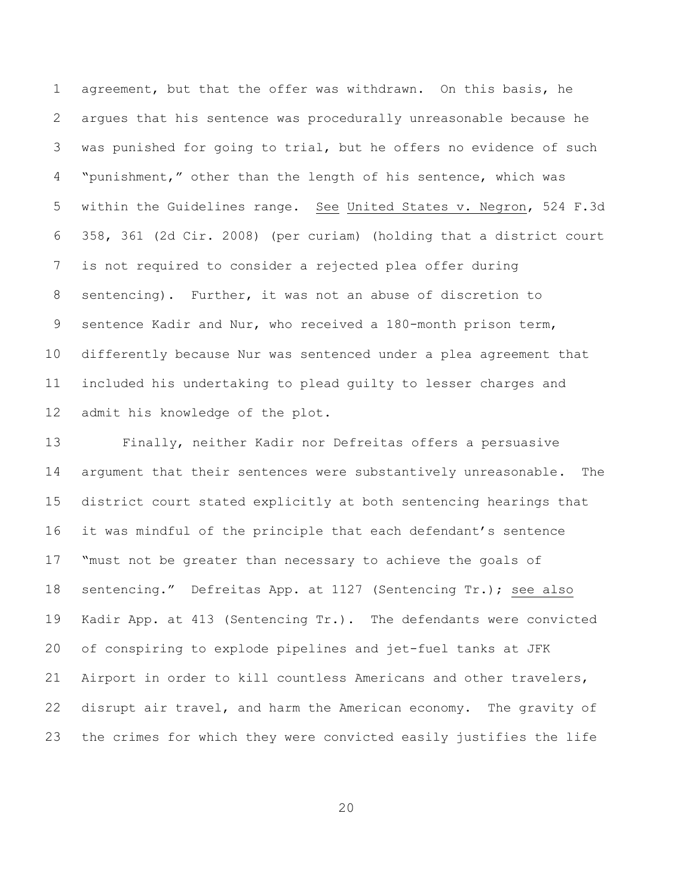agreement, but that the offer was withdrawn. On this basis, he argues that his sentence was procedurally unreasonable because he was punished for going to trial, but he offers no evidence of such "punishment," other than the length of his sentence, which was within the Guidelines range. See United States v. Negron, 524 F.3d 358, 361 (2d Cir. 2008) (per curiam) (holding that a district court is not required to consider a rejected plea offer during sentencing). Further, it was not an abuse of discretion to sentence Kadir and Nur, who received a 180-month prison term, differently because Nur was sentenced under a plea agreement that included his undertaking to plead guilty to lesser charges and admit his knowledge of the plot.

 Finally, neither Kadir nor Defreitas offers a persuasive argument that their sentences were substantively unreasonable. The district court stated explicitly at both sentencing hearings that it was mindful of the principle that each defendant's sentence "must not be greater than necessary to achieve the goals of sentencing." Defreitas App. at 1127 (Sentencing Tr.); see also Kadir App. at 413 (Sentencing Tr.). The defendants were convicted of conspiring to explode pipelines and jet-fuel tanks at JFK Airport in order to kill countless Americans and other travelers, disrupt air travel, and harm the American economy. The gravity of the crimes for which they were convicted easily justifies the life